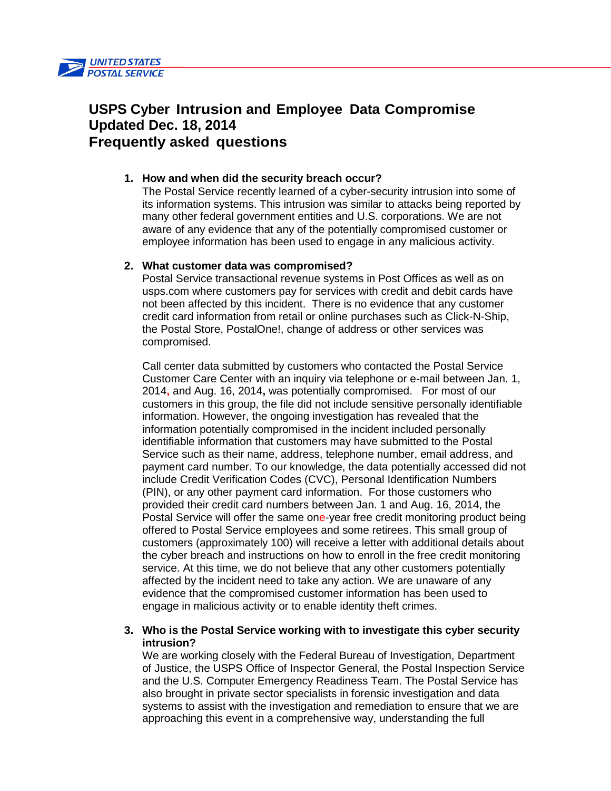

# **USPS Cyber Intrusion and Employee Data Compromise Updated Dec. 18, 2014 Frequently asked questions**

# **1. How and when did the security breach occur?**

The Postal Service recently learned of a cyber-security intrusion into some of its information systems. This intrusion was similar to attacks being reported by many other federal government entities and U.S. corporations. We are not aware of any evidence that any of the potentially compromised customer or employee information has been used to engage in any malicious activity.

## **2. What customer data was compromised?**

Postal Service transactional revenue systems in Post Offices as well as on usps.com where customers pay for services with credit and debit cards have not been affected by this incident. There is no evidence that any customer credit card information from retail or online purchases such as Click-N-Ship, the Postal Store, PostalOne!, change of address or other services was compromised.

Call center data submitted by customers who contacted the Postal Service Customer Care Center with an inquiry via telephone or e-mail between Jan. 1, 2014**,** and Aug. 16, 2014**,** was potentially compromised. For most of our customers in this group, the file did not include sensitive personally identifiable information. However, the ongoing investigation has revealed that the information potentially compromised in the incident included personally identifiable information that customers may have submitted to the Postal Service such as their name, address, telephone number, email address, and payment card number. To our knowledge, the data potentially accessed did not include Credit Verification Codes (CVC), Personal Identification Numbers (PIN), or any other payment card information. For those customers who provided their credit card numbers between Jan. 1 and Aug. 16, 2014, the Postal Service will offer the same one-year free credit monitoring product being offered to Postal Service employees and some retirees. This small group of customers (approximately 100) will receive a letter with additional details about the cyber breach and instructions on how to enroll in the free credit monitoring service. At this time, we do not believe that any other customers potentially affected by the incident need to take any action. We are unaware of any evidence that the compromised customer information has been used to engage in malicious activity or to enable identity theft crimes.

# **3. Who is the Postal Service working with to investigate this cyber security intrusion?**

We are working closely with the Federal Bureau of Investigation, Department of Justice, the USPS Office of Inspector General, the Postal Inspection Service and the U.S. Computer Emergency Readiness Team. The Postal Service has also brought in private sector specialists in forensic investigation and data systems to assist with the investigation and remediation to ensure that we are approaching this event in a comprehensive way, understanding the full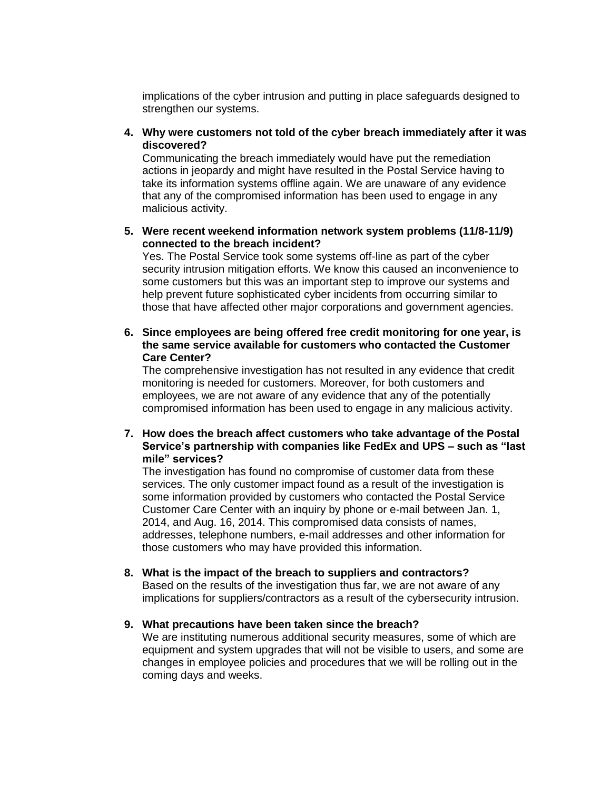implications of the cyber intrusion and putting in place safeguards designed to strengthen our systems.

**4. Why were customers not told of the cyber breach immediately after it was discovered?**

Communicating the breach immediately would have put the remediation actions in jeopardy and might have resulted in the Postal Service having to take its information systems offline again. We are unaware of any evidence that any of the compromised information has been used to engage in any malicious activity.

**5. Were recent weekend information network system problems (11/8-11/9) connected to the breach incident?**

Yes. The Postal Service took some systems off-line as part of the cyber security intrusion mitigation efforts. We know this caused an inconvenience to some customers but this was an important step to improve our systems and help prevent future sophisticated cyber incidents from occurring similar to those that have affected other major corporations and government agencies.

## **6. Since employees are being offered free credit monitoring for one year, is the same service available for customers who contacted the Customer Care Center?**

The comprehensive investigation has not resulted in any evidence that credit monitoring is needed for customers. Moreover, for both customers and employees, we are not aware of any evidence that any of the potentially compromised information has been used to engage in any malicious activity.

**7. How does the breach affect customers who take advantage of the Postal Service's partnership with companies like FedEx and UPS – such as "last mile" services?**

The investigation has found no compromise of customer data from these services. The only customer impact found as a result of the investigation is some information provided by customers who contacted the Postal Service Customer Care Center with an inquiry by phone or e-mail between Jan. 1, 2014, and Aug. 16, 2014. This compromised data consists of names, addresses, telephone numbers, e-mail addresses and other information for those customers who may have provided this information.

**8. What is the impact of the breach to suppliers and contractors?**

Based on the results of the investigation thus far, we are not aware of any implications for suppliers/contractors as a result of the cybersecurity intrusion.

#### **9. What precautions have been taken since the breach?**

We are instituting numerous additional security measures, some of which are equipment and system upgrades that will not be visible to users, and some are changes in employee policies and procedures that we will be rolling out in the coming days and weeks.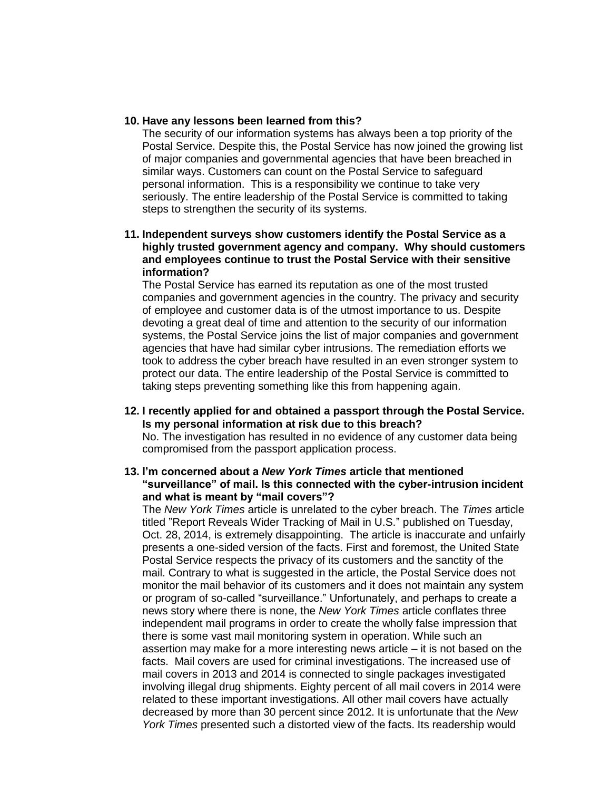### **10. Have any lessons been learned from this?**

The security of our information systems has always been a top priority of the Postal Service. Despite this, the Postal Service has now joined the growing list of major companies and governmental agencies that have been breached in similar ways. Customers can count on the Postal Service to safeguard personal information. This is a responsibility we continue to take very seriously. The entire leadership of the Postal Service is committed to taking steps to strengthen the security of its systems.

# **11. Independent surveys show customers identify the Postal Service as a highly trusted government agency and company. Why should customers and employees continue to trust the Postal Service with their sensitive information?**

The Postal Service has earned its reputation as one of the most trusted companies and government agencies in the country. The privacy and security of employee and customer data is of the utmost importance to us. Despite devoting a great deal of time and attention to the security of our information systems, the Postal Service joins the list of major companies and government agencies that have had similar cyber intrusions. The remediation efforts we took to address the cyber breach have resulted in an even stronger system to protect our data. The entire leadership of the Postal Service is committed to taking steps preventing something like this from happening again.

## **12. I recently applied for and obtained a passport through the Postal Service. Is my personal information at risk due to this breach?**

No. The investigation has resulted in no evidence of any customer data being compromised from the passport application process.

# **13. I'm concerned about a** *New York Times* **article that mentioned "surveillance" of mail. Is this connected with the cyber-intrusion incident and what is meant by "mail covers"?**

The *New York Times* article is unrelated to the cyber breach. The *Times* article titled "Report Reveals Wider Tracking of Mail in U.S." published on Tuesday, Oct. 28, 2014, is extremely disappointing. The article is inaccurate and unfairly presents a one-sided version of the facts. First and foremost, the United State Postal Service respects the privacy of its customers and the sanctity of the mail. Contrary to what is suggested in the article, the Postal Service does not monitor the mail behavior of its customers and it does not maintain any system or program of so-called "surveillance." Unfortunately, and perhaps to create a news story where there is none, the *New York Times* article conflates three independent mail programs in order to create the wholly false impression that there is some vast mail monitoring system in operation. While such an assertion may make for a more interesting news article – it is not based on the facts. Mail covers are used for criminal investigations. The increased use of mail covers in 2013 and 2014 is connected to single packages investigated involving illegal drug shipments. Eighty percent of all mail covers in 2014 were related to these important investigations. All other mail covers have actually decreased by more than 30 percent since 2012. It is unfortunate that the *New York Times* presented such a distorted view of the facts. Its readership would